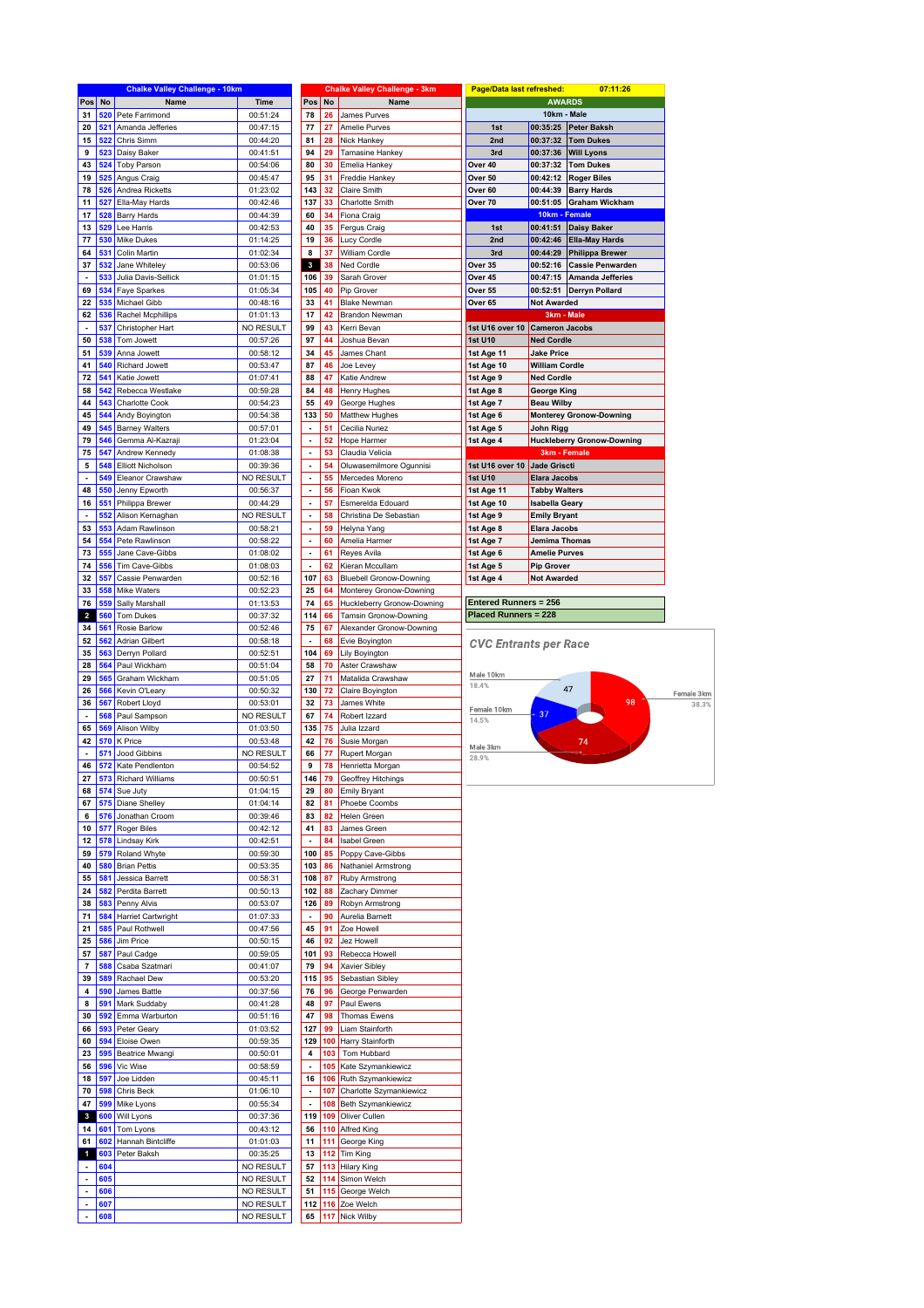|                          |     | <b>Chalke Valley Challenge - 10km</b> |                  |                          |            | <b>Chalke Valley Challenge - 3km</b> | <b>Page/Data last refreshed:</b> |                       | 07:11:26                          |
|--------------------------|-----|---------------------------------------|------------------|--------------------------|------------|--------------------------------------|----------------------------------|-----------------------|-----------------------------------|
| Pos                      | No  | Name                                  | Time             | Pos                      | No         | <b>Name</b>                          |                                  | <b>AWARDS</b>         |                                   |
| 31                       | 520 | Pete Farrimond                        | 00:51:24         | 78                       | 26         | James Purves                         |                                  | 10km - Male           |                                   |
|                          | 521 |                                       |                  | 77                       |            |                                      |                                  | 00:35:25              |                                   |
| 20                       |     | Amanda Jefferies                      | 00:47:15         |                          | 27         | Amelie Purves                        | 1st                              |                       | <b>Peter Baksh</b>                |
| 15                       | 522 | Chris Simm                            | 00:44:20         | 81                       | 28         | Nick Hankey                          | 2nd                              | 00:37:32              | <b>Tom Dukes</b>                  |
| 9                        | 523 | Daisy Baker                           | 00:41:51         | 94                       | 29         | <b>Tamasine Hankey</b>               | 3rd                              | 00:37:36              | <b>Will Lyons</b>                 |
| 43                       | 524 | <b>Toby Parson</b>                    | 00:54:06         | 80                       | 30         | Emelia Hankey                        | Over 40                          | 00:37:32              | <b>Tom Dukes</b>                  |
| 19                       | 525 |                                       |                  | 95                       | 31         | Freddie Hankey                       | Over 50                          |                       |                                   |
|                          |     | Angus Craig                           | 00:45:47         |                          |            |                                      |                                  | 00:42:12              | <b>Roger Biles</b>                |
| 78                       | 526 | Andrea Ricketts                       | 01:23:02         | 143                      | 32         | Claire Smith                         | Over 60                          | 00:44:39              | <b>Barry Hards</b>                |
| 11                       | 527 | Ella-May Hards                        | 00:42:46         | 137                      | 33         | Charlotte Smith                      | Over 70                          | 00:51:05              | <b>Graham Wickham</b>             |
| 17                       | 528 | <b>Barry Hards</b>                    | 00:44:39         | 60                       | 34         | Fiona Craig                          |                                  | 10km - Female         |                                   |
|                          |     |                                       |                  |                          |            |                                      |                                  |                       |                                   |
| 13                       | 529 | Lee Harris                            | 00:42:53         | 40                       | 35         | Fergus Craig                         | 1st                              |                       | 00:41:51   Daisy Baker            |
| 77                       | 530 | <b>Mike Dukes</b>                     | 01:14:25         | 19                       | 36         | Lucy Cordle                          | 2nd                              | 00:42:46              | <b>Ella-May Hards</b>             |
| 64                       | 531 | Colin Martin                          | 01:02:34         | 8                        | 37         | William Cordle                       | 3rd                              | 00:44:29              | <b>Philippa Brewer</b>            |
| 37                       | 532 | Jane Whiteley                         | 00:53:06         | 3                        | 38         | Ned Cordle                           | Over 35                          | 00:52:16              | <b>Cassie Penwarden</b>           |
|                          |     |                                       |                  |                          |            |                                      |                                  |                       |                                   |
| $\overline{\phantom{a}}$ | 533 | Julia Davis-Sellick                   | 01:01:15         | 106                      | 39         | Sarah Grover                         | Over 45                          | 00:47:15              | <b>Amanda Jefferies</b>           |
| 69                       | 534 | Faye Sparkes                          | 01:05:34         | 105                      | 40         | Pip Grover                           | Over 55                          | 00:52:51              | <b>Derryn Pollard</b>             |
| 22                       | 535 | Michael Gibb                          | 00:48:16         | 33                       | 41         | <b>Blake Newman</b>                  | Over 65                          | <b>Not Awarded</b>    |                                   |
| 62                       | 536 | Rachel Mcphillips                     | 01:01:13         | 17                       | 42         | Brandon Newman                       |                                  | 3km - Male            |                                   |
|                          |     |                                       |                  |                          |            |                                      |                                  |                       |                                   |
|                          | 537 | Christopher Hart                      | <b>NO RESULT</b> | 99                       | 43         | Kerri Bevan                          | 1st U16 over 10                  | <b>Cameron Jacobs</b> |                                   |
| 50                       | 538 | Tom Jowett                            | 00:57:26         | 97                       | 44         | Joshua Bevan                         | <b>1st U10</b>                   | <b>Ned Cordle</b>     |                                   |
| 51                       | 539 | Anna Jowett                           | 00:58:12         | 34                       | 45         | James Chant                          | 1st Age 11                       | <b>Jake Price</b>     |                                   |
| 41                       | 540 | Richard Jowett                        | 00:53:47         | 87                       | 46         | Joe Levey                            | 1st Age 10                       | <b>William Cordle</b> |                                   |
|                          |     |                                       |                  |                          |            |                                      |                                  |                       |                                   |
| 72                       | 541 | Katie Jowett                          | 01:07:41         | 88                       | 47         | Katie Andrew                         | 1st Age 9                        | <b>Ned Cordle</b>     |                                   |
| 58                       | 542 | Rebecca Westlake                      | 00:59:28         | 84                       | 48         | Henry Hughes                         | 1st Age 8                        | <b>George King</b>    |                                   |
| 44                       | 543 | <b>Charlotte Cook</b>                 | 00:54:23         | 55                       | 49         | George Hughes                        | 1st Age 7                        | <b>Beau Wilby</b>     |                                   |
| 45                       | 544 | Andy Boyington                        | 00:54:38         | 133                      | 50         | Matthew Hughes                       | 1st Age 6                        |                       | <b>Monterey Gronow-Downing</b>    |
|                          |     |                                       |                  |                          |            |                                      |                                  |                       |                                   |
| 49                       | 545 | <b>Barney Walters</b>                 | 00:57:01         | $\overline{\phantom{a}}$ | 51         | Cecilia Nunez                        | 1st Age 5                        | John Rigg             |                                   |
| 79                       | 546 | Gemma Al-Kazraji                      | 01:23:04         | $\overline{\phantom{a}}$ | 52         | Hope Harmer                          | 1st Age 4                        |                       | <b>Huckleberry Gronow-Downing</b> |
| 75                       | 547 | Andrew Kennedy                        | 01:08:38         | ÷,                       | 53         | Claudia Velicia                      |                                  | 3km - Female          |                                   |
| 5                        | 548 | <b>Elliott Nicholson</b>              | 00:39:36         | $\overline{\phantom{a}}$ | 54         | Oluwasemilmore Ogunnisi              | 1st U16 over 10                  | Jade Griscti          |                                   |
|                          |     |                                       |                  |                          |            |                                      |                                  |                       |                                   |
| ÷,                       | 549 | Eleanor Crawshaw                      | NO RESULT        | $\overline{\phantom{a}}$ | 55         | Mercedes Moreno                      | <b>1st U10</b>                   | <b>Elara Jacobs</b>   |                                   |
| 48                       | 550 | Jenny Epworth                         | 00:56:37         | L.                       | 56         | Fioan Kwok                           | 1st Age 11                       | <b>Tabby Walters</b>  |                                   |
| 16                       | 551 | Philippa Brewer                       | 00:44:29         | ÷,                       | 57         | Esmerelda Edouard                    | 1st Age 10                       | <b>Isabella Geary</b> |                                   |
| ٠                        | 552 | Alison Kernaghan                      | NO RESULT        | $\blacksquare$           | 58         | Christina De Sebastian               | 1st Age 9                        | <b>Emily Bryant</b>   |                                   |
|                          |     |                                       |                  |                          |            |                                      |                                  |                       |                                   |
| 53                       | 553 | Adam Rawlinson                        | 00:58:21         |                          | 59         | Helyna Yang                          | 1st Age 8                        | <b>Elara Jacobs</b>   |                                   |
| 54                       | 554 | Pete Rawlinson                        | 00:58:22         | ÷,                       | 60         | Amelia Harmer                        | 1st Age 7                        | Jemima Thomas         |                                   |
| 73                       | 555 | Jane Cave-Gibbs                       | 01:08:02         | $\overline{\phantom{a}}$ | 61         | Reyes Avila                          | 1st Age 6                        | <b>Amelie Purves</b>  |                                   |
| 74                       | 556 | Tim Cave-Gibbs                        | 01:08:03         | Ĭ.                       | 62         | Kieran Mccullam                      | 1st Age 5                        | <b>Pip Grover</b>     |                                   |
|                          |     |                                       |                  |                          |            |                                      |                                  |                       |                                   |
| 32                       | 557 | Cassie Penwarden                      | 00:52:16         | 107                      | 63         | <b>Bluebell Gronow-Downing</b>       | 1st Age 4                        | <b>Not Awarded</b>    |                                   |
| 33                       | 558 | <b>Mike Waters</b>                    | 00:52:23         | 25                       | 64         | Monterey Gronow-Downing              |                                  |                       |                                   |
| 76                       | 559 | Sally Marshall                        | 01:13:53         | 74                       | 65         | Huckleberry Gronow-Downing           | <b>Entered Runners = 256</b>     |                       |                                   |
| $\overline{\mathbf{z}}$  | 560 | <b>Tom Dukes</b>                      | 00:37:32         | 114                      | 66         | Tamsin Gronow-Downing                | <b>Placed Runners = 228</b>      |                       |                                   |
|                          |     |                                       |                  |                          |            |                                      |                                  |                       |                                   |
| 34                       | 561 | Rosie Barlow                          | 00:52:46         | 75                       | 67         | Alexander Gronow-Downing             |                                  |                       |                                   |
| 52                       | 562 | <b>Adrian Gilbert</b>                 | 00:58:18         | $\blacksquare$           | 68         | Evie Boyington                       | <b>CVC Entrants per Race</b>     |                       |                                   |
| 35                       | 563 | Derryn Pollard                        | 00:52:51         | 104                      | 69         | Lily Boyington                       |                                  |                       |                                   |
| 28                       | 564 | Paul Wickham                          | 00:51:04         | 58                       | 70         | Aster Crawshaw                       |                                  |                       |                                   |
|                          |     |                                       |                  |                          |            |                                      | Male 10km                        |                       |                                   |
| 29                       | 565 | Graham Wickham                        | 00:51:05         | 27                       | 71         | Matalida Crawshaw                    | 18.4%                            |                       |                                   |
| 26                       | 566 | Kevin O'Leary                         | 00:50:32         | 130                      | ${\bf 72}$ | Claire Boyington                     |                                  |                       | 47                                |
| 36                       | 567 | Robert Lloyd                          | 00:53:01         | 32                       | 73         | James White                          |                                  |                       | 98                                |
| ٠                        | 568 | Paul Sampson                          | NO RESULT        | 67                       | 74         | Robert Izzard                        | Female 10km                      | 37                    |                                   |
|                          |     |                                       |                  |                          |            |                                      | 14.5%                            |                       |                                   |
| 65                       | 569 | Alison Wilby                          | 01:03:50         | 135                      | 75         | Julia Izzard                         |                                  |                       |                                   |
| 42                       | 570 | K Price                               | 00:53:48         | 42                       | 76         | Susie Morgan                         | Male 3km                         |                       | 74                                |
|                          | 571 | <b>Jood Gibbins</b>                   | NO RESULT        | 66                       | 77         | Rupert Morgan                        | 28.9%                            |                       |                                   |
| 46                       | 572 | Kate Pendlenton                       | 00:54:52         | 9                        | 78         | Henrietta Morgan                     |                                  |                       |                                   |
|                          |     |                                       |                  |                          |            |                                      |                                  |                       |                                   |
| 27                       | 573 | <b>Richard Williams</b>               | 00:50:51         | 146                      | 79         | Geoffrey Hitchings                   |                                  |                       |                                   |
| 68                       | 574 | Sue Juty                              | 01:04:15         | 29                       | 80         | <b>Emily Bryant</b>                  |                                  |                       |                                   |
| 67                       | 575 | Diane Shelley                         | 01:04:14         | 82                       | 81         | Phoebe Coombs                        |                                  |                       |                                   |
| 6                        | 576 | Jonathan Croom                        | 00:39:46         | 83                       | 82         | Helen Green                          |                                  |                       |                                   |
|                          |     |                                       |                  |                          |            |                                      |                                  |                       |                                   |
| 10                       | 577 | Roger Biles                           | 00:42:12         | 41                       | 83         | James Green                          |                                  |                       |                                   |
| 12                       | 578 | Lindsay Kirk                          | 00:42:51         | $\blacksquare$           | 84         | Isabel Green                         |                                  |                       |                                   |
| 59                       | 579 | Roland Whyte                          | 00:59:30         | 100                      | 85         | Poppy Cave-Gibbs                     |                                  |                       |                                   |
| 40                       | 580 | <b>Brian Pettis</b>                   | 00:53:35         | 103                      | 86         | Nathaniel Armstrong                  |                                  |                       |                                   |
|                          | 581 | Jessica Barrett                       |                  | 108                      |            |                                      |                                  |                       |                                   |
| 55                       |     |                                       | 00:58:31         |                          | 87         | Ruby Armstrong                       |                                  |                       |                                   |
| 24                       | 582 | Perdita Barrett                       | 00:50:13         | 102                      | 88         | Zachary Dimmer                       |                                  |                       |                                   |
| 38                       | 583 | Penny Alvis                           | 00:53:07         | 126                      | 89         | Robyn Armstrong                      |                                  |                       |                                   |
| 71                       | 584 | Harriet Cartwright                    | 01:07:33         | $\overline{\phantom{a}}$ | 90         | Aurelia Barnett                      |                                  |                       |                                   |
| 21                       | 585 | Paul Rothwell                         | 00:47:56         | 45                       | 91         | Zoe Howell                           |                                  |                       |                                   |
|                          |     |                                       |                  |                          |            |                                      |                                  |                       |                                   |
| 25                       | 586 | Jim Price                             | 00:50:15         | 46                       | 92         | Jez Howell                           |                                  |                       |                                   |
| 57                       | 587 | Paul Cadge                            | 00:59:05         | 101                      | 93         | Rebecca Howell                       |                                  |                       |                                   |
| 7                        | 588 | Csaba Szatmari                        | 00:41:07         | 79                       | 94         | Xavier Sibley                        |                                  |                       |                                   |
| 39                       | 589 | Rachael Dew                           | 00:53:20         | 115                      | 95         | Sebastian Sibley                     |                                  |                       |                                   |
|                          |     |                                       |                  |                          |            |                                      |                                  |                       |                                   |
| 4                        | 590 | James Battle                          | 00:37:56         | 76                       | 96         | George Penwarden                     |                                  |                       |                                   |
| 8                        | 591 | Mark Suddaby                          | 00:41:28         | 48                       | 97         | Paul Ewens                           |                                  |                       |                                   |
| 30                       | 592 | Emma Warburton                        | 00:51:16         | 47                       | 98         | Thomas Ewens                         |                                  |                       |                                   |
| 66                       | 593 | Peter Geary                           | 01:03:52         | 127                      | 99         | Liam Stainforth                      |                                  |                       |                                   |
|                          | 594 |                                       |                  | 129                      |            |                                      |                                  |                       |                                   |
| 60                       |     | Eloise Owen                           | 00:59:35         |                          | 100        | Harry Stainforth                     |                                  |                       |                                   |
| 23                       | 595 | Beatrice Mwangi                       | 00:50:01         | 4                        | 103        | Tom Hubbard                          |                                  |                       |                                   |
| 56                       | 596 | Vic Wise                              | 00:58:59         | $\ddot{\phantom{0}}$     | 105        | Kate Szymankiewicz                   |                                  |                       |                                   |
| 18                       | 597 | Joe Lidden                            | 00:45:11         | 16                       | 106        | Ruth Szymankiewicz                   |                                  |                       |                                   |
|                          |     |                                       |                  |                          |            |                                      |                                  |                       |                                   |
| 70                       | 598 | Chris Beck                            | 01:06:10         | ä,                       |            | 107 Charlotte Szymankiewicz          |                                  |                       |                                   |
| 47                       |     | Mike Lyons                            | 00:55:34         | $\overline{\phantom{a}}$ | 108        | <b>Beth Szymankiewicz</b>            |                                  |                       |                                   |
|                          | 599 |                                       | 00:37:36         | 119                      | 109        | Oliver Cullen                        |                                  |                       |                                   |
| $\mathbf{3}$             | 600 | Will Lyons                            |                  |                          |            |                                      |                                  |                       |                                   |
|                          |     |                                       |                  |                          |            |                                      |                                  |                       |                                   |
|                          | 601 | Tom Lyons                             | 00:43:12         | 56                       |            | 110 Alfred King                      |                                  |                       |                                   |
|                          | 602 | Hannah Bintcliffe                     | 01:01:03         | 11                       | 111        | George King                          |                                  |                       |                                   |
| $\mathbf 1$              | 603 | Peter Baksh                           | 00:35:25         | 13                       | 112        | Tim King                             |                                  |                       |                                   |
| 14<br>61                 | 604 |                                       | NO RESULT        | 57                       | 113        | <b>Hilary King</b>                   |                                  |                       |                                   |
| ÷,                       |     |                                       |                  | 52                       | 114        |                                      |                                  |                       |                                   |
|                          | 605 |                                       | NO RESULT        |                          |            | Simon Welch                          |                                  |                       |                                   |
| $\blacksquare$           | 606 |                                       | NO RESULT        | 51                       | 115        | George Welch                         |                                  |                       |                                   |
| ÷                        | 607 |                                       | NO RESULT        | 112                      |            | 116 Zoe Welch                        |                                  |                       |                                   |
| ÷,                       | 608 |                                       | NO RESULT        | 65                       |            | 117 Nick Wilby                       |                                  |                       |                                   |

 $\frac{Female\ 3km}{38.3\%}$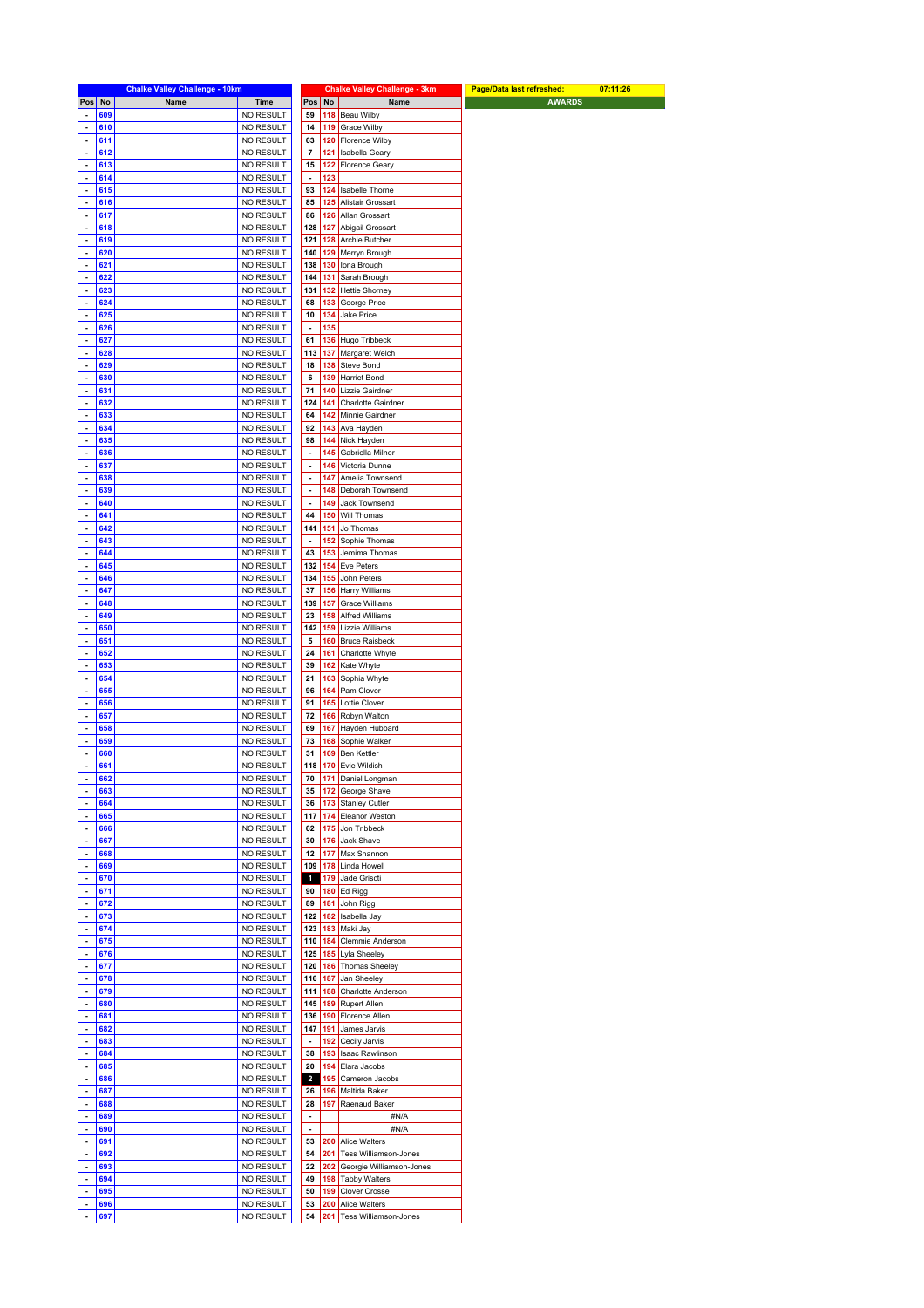| ٠<br>$\overline{\phantom{a}}$<br>÷,                                                                                                          |            | <b>Chalke Valley Challenge - 10km</b> |                        |                              |            | <b>Chalke Valley Challenge - 3km</b> | Page/Data last refreshed: | 07:11:26 |
|----------------------------------------------------------------------------------------------------------------------------------------------|------------|---------------------------------------|------------------------|------------------------------|------------|--------------------------------------|---------------------------|----------|
|                                                                                                                                              | Pos No     | Name                                  | Time                   | Pos                          | No         | Name                                 | <b>AWARDS</b>             |          |
|                                                                                                                                              | 609        |                                       | NO RESULT              | 59                           | 118        | Beau Wilby                           |                           |          |
|                                                                                                                                              | 610        |                                       | NO RESULT              | 14                           | 119        | Grace Wilby                          |                           |          |
|                                                                                                                                              | 611        |                                       | NO RESULT              | 63                           | 120        | Florence Wilby                       |                           |          |
| $\overline{\phantom{a}}$                                                                                                                     | 612        |                                       | NO RESULT              | $\overline{\mathbf{r}}$      | 121        | Isabella Geary                       |                           |          |
| $\overline{\phantom{a}}$                                                                                                                     | 613        |                                       | NO RESULT              | 15                           | 122        | <b>Florence Geary</b>                |                           |          |
| ÷,                                                                                                                                           | 614        |                                       |                        | ÷,                           |            |                                      |                           |          |
|                                                                                                                                              |            |                                       | NO RESULT              |                              | 123        |                                      |                           |          |
| $\blacksquare$                                                                                                                               | 615        |                                       | NO RESULT              | 93                           | 124        | Isabelle Thorne                      |                           |          |
| $\blacksquare$                                                                                                                               | 616        |                                       | <b>NO RESULT</b>       | 85                           | 125        | Alistair Grossart                    |                           |          |
| ÷,                                                                                                                                           | 617        |                                       | NO RESULT              | 86                           | 126        | Allan Grossart                       |                           |          |
| $\blacksquare$                                                                                                                               | 618        |                                       | <b>NO RESULT</b>       | 128                          | 127        | Abigail Grossart                     |                           |          |
| ÷                                                                                                                                            | 619        |                                       | NO RESULT              | 121                          | 128        | Archie Butcher                       |                           |          |
| ÷,                                                                                                                                           | 620        |                                       | NO RESULT              | 140                          | 129        | Merryn Brough                        |                           |          |
| $\blacksquare$                                                                                                                               | 621        |                                       | <b>NO RESULT</b>       | 138                          | 130        | Iona Brough                          |                           |          |
| ÷                                                                                                                                            | 622        |                                       | NO RESULT              | 144                          | 131        | Sarah Brough                         |                           |          |
|                                                                                                                                              |            |                                       |                        |                              |            |                                      |                           |          |
| ÷,                                                                                                                                           | 623        |                                       | NO RESULT              | 131                          | 132        | <b>Hettie Shorney</b>                |                           |          |
| $\blacksquare$                                                                                                                               | 624        |                                       | NO RESULT              | 68                           | 133        | George Price                         |                           |          |
| ÷.                                                                                                                                           | 625        |                                       | NO RESULT              | 10                           | 134        | Jake Price                           |                           |          |
| ÷,                                                                                                                                           | 626        |                                       | NO RESULT              | ÷,                           | 135        |                                      |                           |          |
| ÷,                                                                                                                                           | 627        |                                       | NO RESULT              | 61                           | 136        | Hugo Tribbeck                        |                           |          |
| $\blacksquare$                                                                                                                               | 628        |                                       | NO RESULT              | 113                          | 137        | Margaret Welch                       |                           |          |
| $\blacksquare$                                                                                                                               | 629        |                                       | NO RESULT              | 18                           | 138        | Steve Bond                           |                           |          |
| $\overline{\phantom{a}}$                                                                                                                     | 630        |                                       | NO RESULT              | 6                            | 139        | Harriet Bond                         |                           |          |
|                                                                                                                                              |            |                                       |                        |                              |            | Lizzie Gairdner                      |                           |          |
| $\blacksquare$                                                                                                                               | 631        |                                       | NO RESULT              | 71                           | 140        |                                      |                           |          |
| $\overline{\phantom{a}}$                                                                                                                     | 632        |                                       | <b>NO RESULT</b>       | 124                          | 141        | Charlotte Gairdner                   |                           |          |
| ÷,                                                                                                                                           | 633        |                                       | NO RESULT              | 64                           | 142        | Minnie Gairdner                      |                           |          |
| ÷                                                                                                                                            | 634        |                                       | <b>NO RESULT</b>       | 92                           | 143        | Ava Hayden                           |                           |          |
| $\blacksquare$                                                                                                                               | 635        |                                       | NO RESULT              | 98                           | 144        | Nick Hayden                          |                           |          |
| ÷,                                                                                                                                           | 636        |                                       | NO RESULT              | ÷,                           | 145        | Gabriella Milner                     |                           |          |
| ÷                                                                                                                                            | 637        |                                       | NO RESULT              | $\qquad \qquad \blacksquare$ | 146        | Victoria Dunne                       |                           |          |
| $\overline{\phantom{a}}$                                                                                                                     | 638        |                                       | NO RESULT              | $\qquad \qquad \blacksquare$ | 147        | Amelia Townsend                      |                           |          |
| ÷,                                                                                                                                           | 639        |                                       | NO RESULT              | ÷,                           | 148        | Deborah Townsend                     |                           |          |
|                                                                                                                                              |            |                                       |                        |                              |            |                                      |                           |          |
| $\blacksquare$                                                                                                                               | 640        |                                       | <b>NO RESULT</b>       | $\overline{\phantom{a}}$     | 149        | Jack Townsend                        |                           |          |
| $\blacksquare$                                                                                                                               | 641        |                                       | NO RESULT              | 44                           | 150        | Will Thomas                          |                           |          |
| $\overline{\phantom{a}}$                                                                                                                     | 642        |                                       | NO RESULT              | 141                          | 151        | Jo Thomas                            |                           |          |
| ÷                                                                                                                                            | 643        |                                       | NO RESULT              | $\overline{\phantom{a}}$     | 152        | Sophie Thomas                        |                           |          |
| $\blacksquare$                                                                                                                               | 644        |                                       | NO RESULT              | 43                           | 153        | Jemima Thomas                        |                           |          |
| ÷                                                                                                                                            | 645        |                                       | NO RESULT              | 132                          | 154        | Eve Peters                           |                           |          |
| ÷,                                                                                                                                           | 646        |                                       | NO RESULT              | 134                          | 155        | John Peters                          |                           |          |
| $\blacksquare$                                                                                                                               | 647        |                                       | NO RESULT              | 37                           | 156        | Harry Williams                       |                           |          |
| $\blacksquare$                                                                                                                               |            |                                       |                        |                              |            |                                      |                           |          |
|                                                                                                                                              | 648        |                                       | <b>NO RESULT</b>       | 139                          | 157        | <b>Grace Williams</b>                |                           |          |
| ÷,                                                                                                                                           | 649        |                                       | NO RESULT              | 23                           | 158        | Alfred Williams                      |                           |          |
| ٠                                                                                                                                            | 650        |                                       | <b>NO RESULT</b>       | 142                          | 159        | Lizzie Williams                      |                           |          |
| $\blacksquare$                                                                                                                               | 651        |                                       | <b>NO RESULT</b>       | 5                            | 160        | <b>Bruce Raisbeck</b>                |                           |          |
| ÷,                                                                                                                                           | 652        |                                       | NO RESULT              | 24                           | 161        | Charlotte Whyte                      |                           |          |
| $\overline{\phantom{a}}$                                                                                                                     | 653        |                                       | <b>NO RESULT</b>       | 39                           | 162        | Kate Whyte                           |                           |          |
| $\blacksquare$                                                                                                                               | 654        |                                       | NO RESULT              | 21                           | 163        | Sophia Whyte                         |                           |          |
| ÷,                                                                                                                                           | 655        |                                       | <b>NO RESULT</b>       | 96                           | 164        | Pam Clover                           |                           |          |
| $\blacksquare$                                                                                                                               | 656        |                                       | <b>NO RESULT</b>       | 91                           | 165        | Lottie Clover                        |                           |          |
|                                                                                                                                              |            |                                       |                        |                              |            |                                      |                           |          |
| ÷.                                                                                                                                           | 657        |                                       | NO RESULT              | 72                           | 166        | Robyn Walton                         |                           |          |
| ÷,                                                                                                                                           | 658        |                                       | <b>NO RESULT</b>       | 69                           | 167        | Hayden Hubbard                       |                           |          |
| $\blacksquare$                                                                                                                               | 659        |                                       | <b>NO RESULT</b>       | 73                           | 168        | Sophie Walker                        |                           |          |
| ÷,                                                                                                                                           | 660        |                                       | NO RESULT              | 31                           | 169        | Ben Kettler                          |                           |          |
| ÷.                                                                                                                                           | 661        |                                       | <b>NO RESULT</b>       | 118                          |            | 170 Evie Wildish                     |                           |          |
|                                                                                                                                              | 662        |                                       | NO RESULT              | 70                           |            | 171 Daniel Longman                   |                           |          |
| $\overline{\phantom{a}}$                                                                                                                     | 663        |                                       | NO RESULT              | 35                           |            | 172 George Shave                     |                           |          |
|                                                                                                                                              | 664        |                                       | <b>NO RESULT</b>       | 36                           |            | 173 Stanley Cutler                   |                           |          |
| ÷,                                                                                                                                           | 665        |                                       | NO RESULT              | 117                          |            | 174 Eleanor Weston                   |                           |          |
|                                                                                                                                              |            |                                       | NO RESULT              |                              |            | Jon Tribbeck                         |                           |          |
| $\blacksquare$                                                                                                                               | 666        |                                       |                        | 62                           | 175        |                                      |                           |          |
| ÷                                                                                                                                            | 667        |                                       | NO RESULT              | 30                           | 176        | Jack Shave                           |                           |          |
| $\blacksquare$                                                                                                                               | 668        |                                       | NO RESULT              | 12                           |            | 177 Max Shannon                      |                           |          |
| ÷,                                                                                                                                           | 669        |                                       | NO RESULT              | 109                          |            | 178 Linda Howell                     |                           |          |
| $\blacksquare$                                                                                                                               | 670        |                                       | NO RESULT              | $\mathbf{1}$                 | 179        | Jade Griscti                         |                           |          |
| $\blacksquare$                                                                                                                               | 671        |                                       | NO RESULT              | 90                           |            | 180 $Ed$ Rigg                        |                           |          |
| $\blacksquare$                                                                                                                               | 672        |                                       | NO RESULT              | 89                           | 181        | John Rigg                            |                           |          |
|                                                                                                                                              | 673        |                                       | NO RESULT              | 122                          | 182        | Isabella Jay                         |                           |          |
|                                                                                                                                              | 674        |                                       | NO RESULT              | 123                          |            |                                      |                           |          |
| $\blacksquare$                                                                                                                               |            |                                       |                        |                              |            | 183 Maki Jay                         |                           |          |
| ÷,                                                                                                                                           | 675        |                                       | NO RESULT              | 110                          | 184        | Clemmie Anderson                     |                           |          |
| ÷.                                                                                                                                           |            |                                       | NO RESULT              | 125                          |            | 185 Lyla Sheeley                     |                           |          |
| $\blacksquare$                                                                                                                               | 676        |                                       |                        |                              |            |                                      |                           |          |
| ÷                                                                                                                                            | 677        |                                       | NO RESULT              | 120                          |            | 186 Thomas Sheeley                   |                           |          |
| ÷,                                                                                                                                           | 678        |                                       | NO RESULT              | 116                          | 187        | Jan Sheeley                          |                           |          |
| $\blacksquare$                                                                                                                               | 679        |                                       | NO RESULT              | 111                          | 188        | Charlotte Anderson                   |                           |          |
| ÷                                                                                                                                            | 680        |                                       |                        | 145                          | 189        | Rupert Allen                         |                           |          |
|                                                                                                                                              |            |                                       | NO RESULT              |                              |            |                                      |                           |          |
|                                                                                                                                              | 681        |                                       | NO RESULT              | 136                          | 190        | Florence Allen                       |                           |          |
|                                                                                                                                              | 682        |                                       | NO RESULT              | 147                          | 191        | James Jarvis                         |                           |          |
|                                                                                                                                              | 683        |                                       | NO RESULT              | ÷,                           | 192        | Cecily Jarvis                        |                           |          |
|                                                                                                                                              | 684        |                                       | NO RESULT              | 38                           | 193        | Isaac Rawlinson                      |                           |          |
|                                                                                                                                              | 685        |                                       | NO RESULT              | 20                           | 194        | Elara Jacobs                         |                           |          |
|                                                                                                                                              | 686        |                                       | NO RESULT              | $\overline{\mathbf{2}}$      | 195        | Cameron Jacobs                       |                           |          |
|                                                                                                                                              |            |                                       |                        |                              |            |                                      |                           |          |
|                                                                                                                                              | 687        |                                       | NO RESULT              | 26                           | 196        | Maltida Baker                        |                           |          |
|                                                                                                                                              | 688        |                                       | NO RESULT              | 28                           | 197        | Raenaud Baker                        |                           |          |
|                                                                                                                                              | 689        |                                       | NO RESULT              | $\blacksquare$               |            | #N/A                                 |                           |          |
|                                                                                                                                              | 690        |                                       | NO RESULT              | $\overline{\phantom{a}}$     |            | #N/A                                 |                           |          |
|                                                                                                                                              | 691        |                                       | NO RESULT              | 53                           | 200        | Alice Walters                        |                           |          |
| $\blacksquare$<br>$\blacksquare$<br>÷.<br>$\blacksquare$<br>÷.<br>÷.<br>$\blacksquare$<br>$\blacksquare$<br>÷.<br>÷,<br>$\blacksquare$<br>÷. | 692        |                                       | NO RESULT              | 54                           | 201        | Tess Williamson-Jones                |                           |          |
|                                                                                                                                              |            |                                       |                        |                              |            |                                      |                           |          |
| ÷<br>÷,                                                                                                                                      | 693        |                                       | NO RESULT              | 22                           | 202        | Georgie Williamson-Jones             |                           |          |
|                                                                                                                                              | 694        |                                       | NO RESULT              | 49                           | 198        | <b>Tabby Walters</b>                 |                           |          |
| $\blacksquare$<br>$\blacksquare$                                                                                                             | 695<br>696 |                                       | NO RESULT<br>NO RESULT | 50<br>53                     | 199<br>200 | Clover Crosse<br>Alice Walters       |                           |          |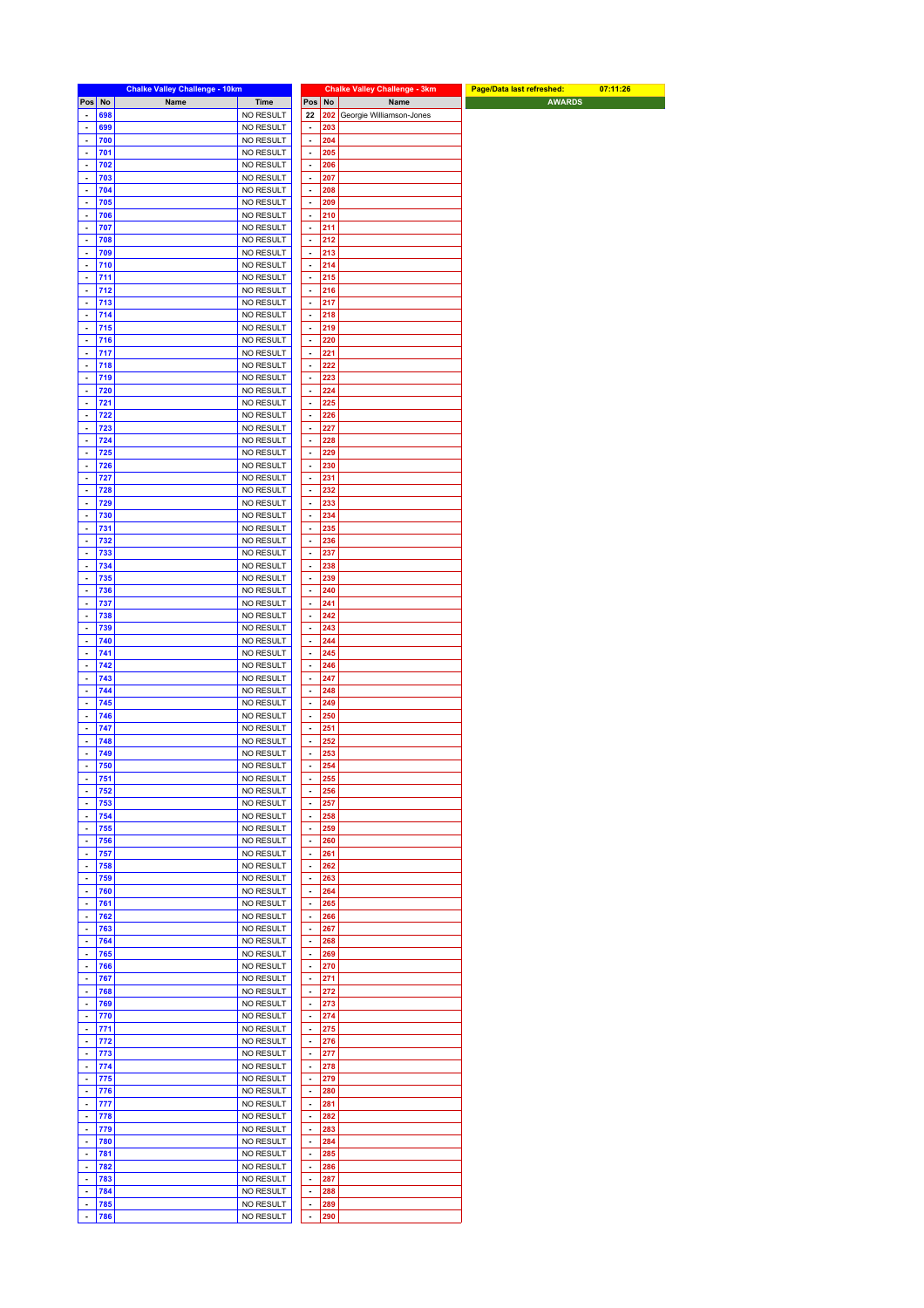|                                                       |            | <b>Chalke Valley Challenge - 10km</b> |                        |                                            |            | <b>Chalke Valley Challenge - 3km</b> | Page/Data last refreshed: | 07:11:26 |
|-------------------------------------------------------|------------|---------------------------------------|------------------------|--------------------------------------------|------------|--------------------------------------|---------------------------|----------|
| Pos No                                                |            | Name                                  | <b>Time</b>            | Pos                                        | No         | Name                                 | <b>AWARDS</b>             |          |
| $\blacksquare$                                        | 698        |                                       | NO RESULT              | 22                                         |            | 202 Georgie Williamson-Jones         |                           |          |
| ä,                                                    | 699        |                                       | NO RESULT              | $\blacksquare$                             | 203        |                                      |                           |          |
| ÷,                                                    | 700        |                                       | NO RESULT              | $\blacksquare$                             | 204        |                                      |                           |          |
| $\blacksquare$                                        | 701        |                                       | NO RESULT              | $\blacksquare$                             | 205        |                                      |                           |          |
| ä,                                                    | 702        |                                       | NO RESULT              | $\blacksquare$                             | 206        |                                      |                           |          |
| $\overline{\phantom{a}}$                              | 703        |                                       | NO RESULT              | $\blacksquare$                             | 207        |                                      |                           |          |
| $\overline{\phantom{a}}$                              | 704        |                                       | NO RESULT              | $\overline{\phantom{a}}$                   | 208        |                                      |                           |          |
| ä,                                                    | 705        |                                       | NO RESULT              | $\blacksquare$                             | 209        |                                      |                           |          |
| ÷,                                                    | 706        |                                       | NO RESULT              | ÷                                          | 210        |                                      |                           |          |
| $\overline{\phantom{a}}$                              | 707        |                                       | NO RESULT              | $\overline{\phantom{a}}$                   | 211        |                                      |                           |          |
| $\overline{\phantom{a}}$<br>÷,                        | 708<br>709 |                                       | NO RESULT              | $\blacksquare$<br>$\blacksquare$           | 212<br>213 |                                      |                           |          |
| $\overline{\phantom{a}}$                              | 710        |                                       | NO RESULT<br>NO RESULT | $\blacksquare$                             | 214        |                                      |                           |          |
| $\qquad \qquad \blacksquare$                          | 711        |                                       | NO RESULT              | $\blacksquare$                             | 215        |                                      |                           |          |
| ÷,                                                    | 712        |                                       | NO RESULT              | $\overline{\phantom{a}}$                   | 216        |                                      |                           |          |
| $\blacksquare$                                        | 713        |                                       | NO RESULT              | $\blacksquare$                             | 217        |                                      |                           |          |
| $\overline{\phantom{a}}$                              | 714        |                                       | NO RESULT              | $\blacksquare$                             | 218        |                                      |                           |          |
| $\blacksquare$                                        | 715        |                                       | NO RESULT              | ÷                                          | 219        |                                      |                           |          |
| ÷,                                                    | 716        |                                       | NO RESULT              | $\blacksquare$                             | 220        |                                      |                           |          |
| $\blacksquare$                                        | 717        |                                       | NO RESULT              | $\overline{\phantom{a}}$                   | 221        |                                      |                           |          |
| $\blacksquare$                                        | 718        |                                       | NO RESULT              | $\blacksquare$                             | 222        |                                      |                           |          |
| ÷,                                                    | 719        |                                       | NO RESULT              | $\overline{\phantom{a}}$                   | 223        |                                      |                           |          |
| $\overline{\phantom{a}}$                              | 720        |                                       | NO RESULT              | $\blacksquare$                             | 224        |                                      |                           |          |
| ä,                                                    | 721        |                                       | NO RESULT              | $\blacksquare$                             | 225        |                                      |                           |          |
| ÷,                                                    | 722        |                                       | NO RESULT              | $\blacksquare$                             | 226        |                                      |                           |          |
| $\overline{\phantom{a}}$                              | 723        |                                       | NO RESULT              | $\overline{\phantom{a}}$                   | 227        |                                      |                           |          |
| Ĭ.<br>÷,                                              | 724<br>725 |                                       | NO RESULT              | $\overline{\phantom{a}}$<br>$\blacksquare$ | 228<br>229 |                                      |                           |          |
| $\overline{\phantom{a}}$                              | 726        |                                       | NO RESULT<br>NO RESULT | $\overline{\phantom{a}}$                   | 230        |                                      |                           |          |
| $\qquad \qquad \blacksquare$                          | 727        |                                       | NO RESULT              | $\blacksquare$                             | 231        |                                      |                           |          |
| ÷,                                                    | 728        |                                       | NO RESULT              | ÷                                          | 232        |                                      |                           |          |
| $\blacksquare$                                        | 729        |                                       | NO RESULT              | $\blacksquare$                             | 233        |                                      |                           |          |
| $\blacksquare$                                        | 730        |                                       | NO RESULT              | $\blacksquare$                             | 234        |                                      |                           |          |
| ÷,                                                    | 731        |                                       | NO RESULT              | $\blacksquare$                             | 235        |                                      |                           |          |
| $\blacksquare$                                        | 732        |                                       | NO RESULT              | $\blacksquare$                             | 236        |                                      |                           |          |
| $\blacksquare$                                        | 733        |                                       | NO RESULT              | $\overline{\phantom{a}}$                   | 237        |                                      |                           |          |
| ä,                                                    | 734        |                                       | NO RESULT              | ÷,                                         | 238        |                                      |                           |          |
| $\overline{\phantom{a}}$                              | 735        |                                       | NO RESULT              | $\blacksquare$                             | 239<br>240 |                                      |                           |          |
| $\blacksquare$<br>ä,                                  | 736<br>737 |                                       | NO RESULT<br>NO RESULT | $\blacksquare$<br>$\blacksquare$           | 241        |                                      |                           |          |
| $\tilde{\phantom{a}}$                                 | 738        |                                       | NO RESULT              | ÷                                          | 242        |                                      |                           |          |
| $\overline{\phantom{a}}$                              | 739        |                                       | NO RESULT              | $\overline{\phantom{a}}$                   | 243        |                                      |                           |          |
| ä,                                                    | 740        |                                       | NO RESULT              | $\blacksquare$                             | 244        |                                      |                           |          |
| ÷,                                                    | 741        |                                       | NO RESULT              | $\blacksquare$                             | 245        |                                      |                           |          |
| $\blacksquare$                                        | 742        |                                       | NO RESULT              | $\overline{\phantom{a}}$                   | 246        |                                      |                           |          |
| $\blacksquare$                                        | 743        |                                       | NO RESULT              | $\blacksquare$                             | 247        |                                      |                           |          |
| ÷                                                     | 744        |                                       | NO RESULT              | $\blacksquare$                             | 248        |                                      |                           |          |
| $\blacksquare$                                        | 745        |                                       | NO RESULT              | $\overline{\phantom{a}}$                   | 249        |                                      |                           |          |
| $\overline{\phantom{a}}$<br>÷,                        | 746        |                                       | NO RESULT              | $\blacksquare$<br>$\overline{\phantom{a}}$ | 250        |                                      |                           |          |
| $\overline{\phantom{a}}$                              | 747<br>748 |                                       | NO RESULT<br>NO RESULT | $\blacksquare$                             | 251<br>252 |                                      |                           |          |
| $\qquad \qquad \blacksquare$                          | 749        |                                       | NO RESULT              | $\overline{\phantom{a}}$                   | 253        |                                      |                           |          |
| $\blacksquare$                                        | 750        |                                       | NO RESULT              | $\Box$                                     | 254        |                                      |                           |          |
| $\sim$                                                | 751        |                                       | NO RESULT              | $\sim$                                     | 255        |                                      |                           |          |
| $\blacksquare$                                        | 752        |                                       | NO RESULT              | $\overline{\phantom{a}}$                   | 256        |                                      |                           |          |
| $\qquad \qquad \blacksquare$                          | 753        |                                       | NO RESULT              | $\blacksquare$                             | 257        |                                      |                           |          |
| ÷,                                                    | 754        |                                       | NO RESULT              | $\overline{\phantom{a}}$                   | 258        |                                      |                           |          |
| $\overline{\phantom{a}}$                              | 755        |                                       | NO RESULT              | $\overline{\phantom{a}}$                   | 259        |                                      |                           |          |
| ä,                                                    | 756        |                                       | NO RESULT              | $\blacksquare$                             | 260        |                                      |                           |          |
| ÷,<br>$\overline{\phantom{a}}$                        | 757<br>758 |                                       | NO RESULT<br>NO RESULT | $\blacksquare$<br>$\blacksquare$           | 261<br>262 |                                      |                           |          |
| $\overline{\phantom{a}}$                              | 759        |                                       | NO RESULT              | $\blacksquare$                             | 263        |                                      |                           |          |
| ÷,                                                    | 760        |                                       | NO RESULT              | $\overline{\phantom{a}}$                   | 264        |                                      |                           |          |
| $\blacksquare$                                        | 761        |                                       | NO RESULT              | $\overline{\phantom{a}}$                   | 265        |                                      |                           |          |
| $\blacksquare$                                        | 762        |                                       | NO RESULT              | $\blacksquare$                             | 266        |                                      |                           |          |
| ÷,                                                    | 763        |                                       | NO RESULT              | ÷,                                         | 267        |                                      |                           |          |
| $\blacksquare$                                        | 764        |                                       | NO RESULT              | $\overline{\phantom{a}}$                   | 268        |                                      |                           |          |
| $\blacksquare$                                        | 765        |                                       | NO RESULT              | $\blacksquare$                             | 269        |                                      |                           |          |
| ÷,                                                    | 766        |                                       | NO RESULT              | $\blacksquare$                             | 270        |                                      |                           |          |
| $\tilde{\phantom{a}}$                                 | 767        |                                       | NO RESULT              | $\blacksquare$                             | 271        |                                      |                           |          |
| $\blacksquare$                                        | 768        |                                       | NO RESULT              | $\blacksquare$                             | 272        |                                      |                           |          |
| $\qquad \qquad \blacksquare$<br>$\tilde{\phantom{a}}$ | 769<br>770 |                                       | NO RESULT<br>NO RESULT | ÷,<br>$\blacksquare$                       | 273<br>274 |                                      |                           |          |
| $\blacksquare$                                        | 771        |                                       | NO RESULT              | $\blacksquare$                             | 275        |                                      |                           |          |
| ä,                                                    | 772        |                                       | NO RESULT              | $\blacksquare$                             | 276        |                                      |                           |          |
| ÷,                                                    | 773        |                                       | NO RESULT              | $\blacksquare$                             | 277        |                                      |                           |          |
| $\blacksquare$                                        | 774        |                                       | NO RESULT              | $\overline{\phantom{a}}$                   | 278        |                                      |                           |          |
| $\blacksquare$                                        | 775        |                                       | NO RESULT              | $\blacksquare$                             | 279        |                                      |                           |          |
| $\tilde{\phantom{a}}$                                 | 776        |                                       | NO RESULT              | $\blacksquare$                             | 280        |                                      |                           |          |
| $\blacksquare$                                        | 777        |                                       | NO RESULT              | $\blacksquare$                             | 281        |                                      |                           |          |
| $\qquad \qquad \blacksquare$                          | 778        |                                       | NO RESULT              | $\blacksquare$                             | 282        |                                      |                           |          |
| ÷.                                                    | 779        |                                       | NO RESULT              | ÷,                                         | 283        |                                      |                           |          |
| $\blacksquare$                                        | 780        |                                       | NO RESULT              | $\overline{\phantom{a}}$                   | 284        |                                      |                           |          |
| $\blacksquare$<br>$\blacksquare$                      | 781<br>782 |                                       | NO RESULT<br>NO RESULT | $\blacksquare$<br>$\blacksquare$           | 285<br>286 |                                      |                           |          |
| ÷,                                                    | 783        |                                       | NO RESULT              | ÷                                          | 287        |                                      |                           |          |
| $\tilde{\phantom{a}}$                                 | 784        |                                       | NO RESULT              | $\blacksquare$                             | 288        |                                      |                           |          |
| ä,                                                    | 785        |                                       | NO RESULT              | $\blacksquare$                             | 289        |                                      |                           |          |
| ÷,                                                    | 786        |                                       | NO RESULT              | $\blacksquare$                             | 290        |                                      |                           |          |